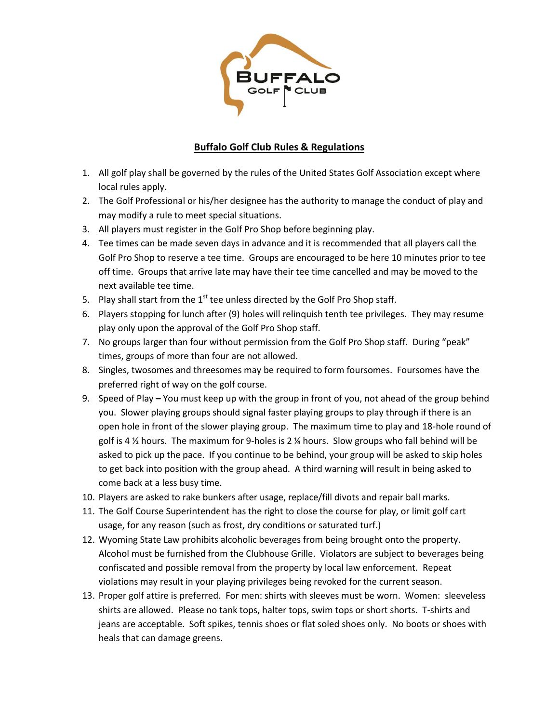

## **Buffalo Golf Club Rules & Regulations**

- 1. All golf play shall be governed by the rules of the United States Golf Association except where local rules apply.
- 2. The Golf Professional or his/her designee has the authority to manage the conduct of play and may modify a rule to meet special situations.
- 3. All players must register in the Golf Pro Shop before beginning play.
- 4. Tee times can be made seven days in advance and it is recommended that all players call the Golf Pro Shop to reserve a tee time. Groups are encouraged to be here 10 minutes prior to tee off time. Groups that arrive late may have their tee time cancelled and may be moved to the next available tee time.
- 5. Play shall start from the  $1<sup>st</sup>$  tee unless directed by the Golf Pro Shop staff.
- 6. Players stopping for lunch after (9) holes will relinquish tenth tee privileges. They may resume play only upon the approval of the Golf Pro Shop staff.
- 7. No groups larger than four without permission from the Golf Pro Shop staff. During "peak" times, groups of more than four are not allowed.
- 8. Singles, twosomes and threesomes may be required to form foursomes. Foursomes have the preferred right of way on the golf course.
- 9. Speed of Play **–** You must keep up with the group in front of you, not ahead of the group behind you. Slower playing groups should signal faster playing groups to play through if there is an open hole in front of the slower playing group. The maximum time to play and 18-hole round of golf is 4 ½ hours. The maximum for 9-holes is 2 ¼ hours. Slow groups who fall behind will be asked to pick up the pace. If you continue to be behind, your group will be asked to skip holes to get back into position with the group ahead. A third warning will result in being asked to come back at a less busy time.
- 10. Players are asked to rake bunkers after usage, replace/fill divots and repair ball marks.
- 11. The Golf Course Superintendent has the right to close the course for play, or limit golf cart usage, for any reason (such as frost, dry conditions or saturated turf.)
- 12. Wyoming State Law prohibits alcoholic beverages from being brought onto the property. Alcohol must be furnished from the Clubhouse Grille. Violators are subject to beverages being confiscated and possible removal from the property by local law enforcement. Repeat violations may result in your playing privileges being revoked for the current season.
- 13. Proper golf attire is preferred. For men: shirts with sleeves must be worn. Women: sleeveless shirts are allowed. Please no tank tops, halter tops, swim tops or short shorts. T-shirts and jeans are acceptable. Soft spikes, tennis shoes or flat soled shoes only. No boots or shoes with heals that can damage greens.